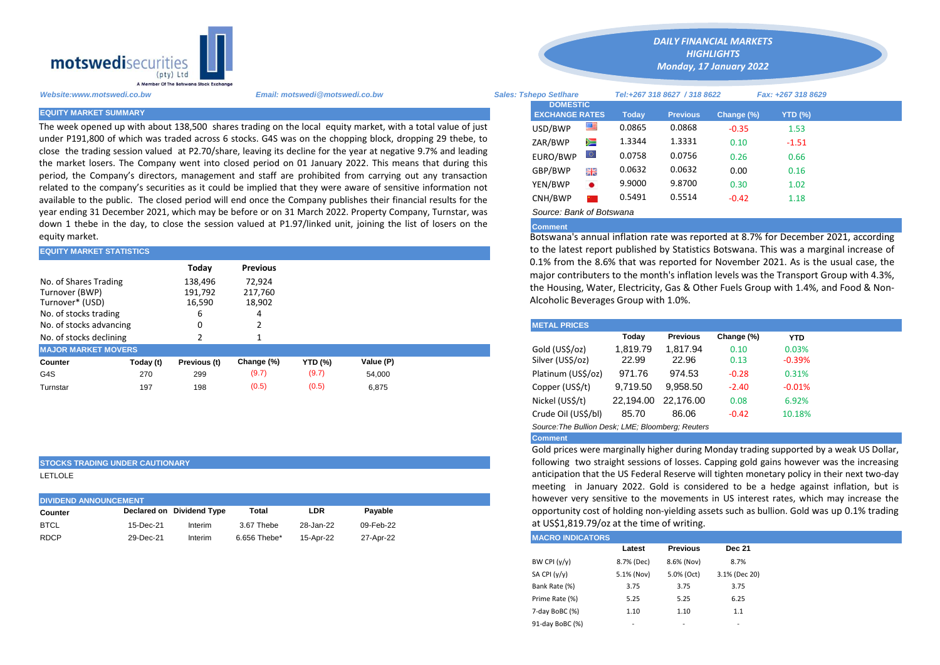

The week opened up with about 138,500 shares trading on the local equity market, with a total value of just under P191,800 of which was traded across 6 stocks. G4S was on the chopping block, dropping 29 thebe, to close the trading session valued at P2.70/share, leaving its decline for the year at negative 9.7% and leading the market losers. The Company went into closed period on 01 January 2022. This means that during this period, the Company's directors, management and staff are prohibited from carrying out any transaction related to the company's securities as it could be implied that they were aware of sensitive information not available to the public. The closed period will end once the Company publishes their financial results for the year ending 31 December 2021, which may be before or on 31 March 2022. Property Company, Turnstar, was down 1 thebe in the day, to close the session valued at P1.97/linked unit, joining the list of losers on the equity market.

| <b>EQUITY MARKET STATISTICS</b> |           |              |            |                |           |  | to the latest report published by Statistics Botswana. This was a marg                                                                      |          |                 |            |            |  |  |  |
|---------------------------------|-----------|--------------|------------|----------------|-----------|--|---------------------------------------------------------------------------------------------------------------------------------------------|----------|-----------------|------------|------------|--|--|--|
| <b>Previous</b><br>Today        |           |              |            |                |           |  | 0.1% from the 8.6% that was reported for November 2021. As is the<br>major contributers to the month's inflation levels was the Transport G |          |                 |            |            |  |  |  |
| No. of Shares Trading           |           | 138,496      | 72,924     |                |           |  |                                                                                                                                             |          |                 |            |            |  |  |  |
| Turnover (BWP)                  |           | 191,792      | 217,760    |                |           |  | the Housing, Water, Electricity, Gas & Other Fuels Group with 1.4%, are                                                                     |          |                 |            |            |  |  |  |
| Turnover* (USD)                 |           | 16,590       | 18,902     |                |           |  | Alcoholic Beverages Group with 1.0%.                                                                                                        |          |                 |            |            |  |  |  |
| No. of stocks trading           |           |              |            |                |           |  |                                                                                                                                             |          |                 |            |            |  |  |  |
| No. of stocks advancing         |           |              |            |                |           |  | <b>METAL PRICES</b>                                                                                                                         |          |                 |            |            |  |  |  |
| No. of stocks declining         |           |              |            |                |           |  |                                                                                                                                             | Today    | <b>Previous</b> | Change (%) | <b>YTD</b> |  |  |  |
| <b>MAJOR MARKET MOVERS</b>      |           |              |            |                |           |  | Gold (US\$/oz)                                                                                                                              | 1.819.79 | 1.817.94        | 0.10       | 0.03%      |  |  |  |
| Counter                         | Today (t) | Previous (t) | Change (%) | <b>YTD (%)</b> | Value (P) |  | Silver (US\$/oz)                                                                                                                            | 22.99    | 22.96           | 0.13       | $-0.39%$   |  |  |  |
| G4S                             | 270       | 299          | (9.7)      | (9.7)          | 54.000    |  | Platinum (US\$/oz)                                                                                                                          | 971.76   | 974.53          | $-0.28$    | 0.31%      |  |  |  |
| Turnstar                        | 197       | 198          | (0.5)      | (0.5)          | 6,875     |  | Copper (US\$/t)                                                                                                                             | 9,719.50 | 9,958.50        | $-2.40$    | $-0.01%$   |  |  |  |
|                                 |           |              |            |                |           |  |                                                                                                                                             |          |                 |            |            |  |  |  |

### **STOCKS TRADING UNDER CAUTIONARY**

LETLOLE

| <b>DIVIDEND ANNOUNCEMENT</b> | however very sens |                           |              |           |           |                         |
|------------------------------|-------------------|---------------------------|--------------|-----------|-----------|-------------------------|
| Counter                      |                   | Declared on Dividend Type | Total        | LDR       | Pavable   | opportunity cost of     |
| <b>BTCL</b>                  | 15-Dec-21         | Interim                   | 3.67 Thebe   | 28-Jan-22 | 09-Feb-22 | at US\$1,819.79/oz      |
| <b>RDCP</b>                  | 29-Dec-21         | Interim                   | 6.656 Thebe* | 15-Apr-22 | 27-Apr-22 | <b>MACRO INDICATORS</b> |

*Website:www.motswedi.co.bw Email: motswedi@motswedi.co.bw Sales: Tshepo Setlhare Tel:+267 318 8627 / 318 8622 Fax: +267 318 8629*  **EQUITY MARKET SUMMARY Today Previous Change (%) YTD (%)**  $\text{USD/BWP}$   $\blacksquare$  0.0865 0.0868 -0.35 1.53 ZAR/BWP 2 1.3344 1.3331 0.10 -1.51 EURO/BWP 0.0758 0.0756 0.26 0.66 GBP/BWP **8.6** 0.0632 0.0632 0.00 0.16 YEN/BWP 9.9000 9.8700 0.30 1.02 CNH/BWP 2 0.5491 0.5514 -0.42 1.18 *Source: Bank of Botswana*  **DOMESTIC EXCHANGE RATES**

*DAILY FINANCIAL MARKETS HIGHLIGHTS Monday, 17 January 2022*

# **Comment**

Botswana's annual inflation rate was reported at 8.7% for December 2021, according to the latest report published by Statistics Botswana. This was a marginal increase of 0.1% from the 8.6% that was reported for November 2021. As is the usual case, the major contributers to the month's inflation levels was the Transport Group with 4.3%, the Housing, Water, Electricity, Gas & Other Fuels Group with 1.4%, and Food & Non-Alcoholic Beverages Group with 1.0%.

| <b>METAL PRICES</b>                               |           |                 |            |            |  |  |  |  |  |
|---------------------------------------------------|-----------|-----------------|------------|------------|--|--|--|--|--|
|                                                   | Today     | <b>Previous</b> | Change (%) | <b>YTD</b> |  |  |  |  |  |
| Gold (US\$/oz)                                    | 1,819.79  | 1.817.94        | 0.10       | 0.03%      |  |  |  |  |  |
| Silver (USS/oz)                                   | 22.99     | 22.96           | 0.13       | $-0.39%$   |  |  |  |  |  |
| Platinum (US\$/oz)                                | 971.76    | 974.53          | $-0.28$    | 0.31%      |  |  |  |  |  |
| Copper (US\$/t)                                   | 9,719.50  | 9.958.50        | $-2.40$    | $-0.01%$   |  |  |  |  |  |
| Nickel (US\$/t)                                   | 22.194.00 | 22.176.00       | 0.08       | 6.92%      |  |  |  |  |  |
| Crude Oil (US\$/bl)                               | 85.70     | 86.06           | $-0.42$    | 10.18%     |  |  |  |  |  |
| Source: The Bullion Desk: LME: Bloomberg: Reuters |           |                 |            |            |  |  |  |  |  |

# **Comment**

Gold prices were marginally higher during Monday trading supported by a weak US Dollar, following two straight sessions of losses. Capping gold gains however was the increasing anticipation that the US Federal Reserve will tighten monetary policy in their next two-day meeting in January 2022. Gold is considered to be a hedge against inflation, but is however very sensitive to the movements in US interest rates, which may increase the opportunity cost of holding non-yielding assets such as bullion. Gold was up 0.1% trading at US\$1,819.79/oz at the time of writing.

| Latest     | <b>Previous</b> | <b>Dec 21</b> |  |
|------------|-----------------|---------------|--|
| 8.7% (Dec) | 8.6% (Nov)      | 8.7%          |  |
| 5.1% (Nov) | 5.0% (Oct)      | 3.1% (Dec 20) |  |
| 3.75       | 3.75            | 3.75          |  |
| 5.25       | 5.25            | 6.25          |  |
| 1.10       | 1.10            | 1.1           |  |
|            |                 |               |  |
|            |                 |               |  |